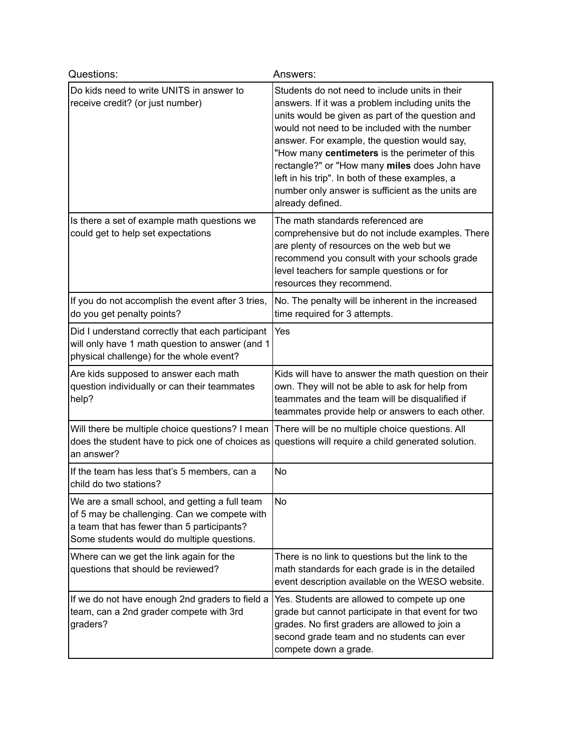| Questions:                                                                                                                                                                                 | Answers:                                                                                                                                                                                                                                                                                                                                                                                                                                                                               |
|--------------------------------------------------------------------------------------------------------------------------------------------------------------------------------------------|----------------------------------------------------------------------------------------------------------------------------------------------------------------------------------------------------------------------------------------------------------------------------------------------------------------------------------------------------------------------------------------------------------------------------------------------------------------------------------------|
| Do kids need to write UNITS in answer to<br>receive credit? (or just number)                                                                                                               | Students do not need to include units in their<br>answers. If it was a problem including units the<br>units would be given as part of the question and<br>would not need to be included with the number<br>answer. For example, the question would say,<br>"How many centimeters is the perimeter of this<br>rectangle?" or "How many miles does John have<br>left in his trip". In both of these examples, a<br>number only answer is sufficient as the units are<br>already defined. |
| Is there a set of example math questions we<br>could get to help set expectations                                                                                                          | The math standards referenced are<br>comprehensive but do not include examples. There<br>are plenty of resources on the web but we<br>recommend you consult with your schools grade<br>level teachers for sample questions or for<br>resources they recommend.                                                                                                                                                                                                                         |
| If you do not accomplish the event after 3 tries,<br>do you get penalty points?                                                                                                            | No. The penalty will be inherent in the increased<br>time required for 3 attempts.                                                                                                                                                                                                                                                                                                                                                                                                     |
| Did I understand correctly that each participant<br>will only have 1 math question to answer (and 1<br>physical challenge) for the whole event?                                            | Yes                                                                                                                                                                                                                                                                                                                                                                                                                                                                                    |
| Are kids supposed to answer each math<br>question individually or can their teammates<br>help?                                                                                             | Kids will have to answer the math question on their<br>own. They will not be able to ask for help from<br>teammates and the team will be disqualified if<br>teammates provide help or answers to each other.                                                                                                                                                                                                                                                                           |
| Will there be multiple choice questions? I mean There will be no multiple choice questions. All<br>does the student have to pick one of choices as<br>an answer?                           | questions will require a child generated solution.                                                                                                                                                                                                                                                                                                                                                                                                                                     |
| If the team has less that's 5 members, can a<br>child do two stations?                                                                                                                     | No                                                                                                                                                                                                                                                                                                                                                                                                                                                                                     |
| We are a small school, and getting a full team<br>of 5 may be challenging. Can we compete with<br>a team that has fewer than 5 participants?<br>Some students would do multiple questions. | <b>No</b>                                                                                                                                                                                                                                                                                                                                                                                                                                                                              |
| Where can we get the link again for the<br>questions that should be reviewed?                                                                                                              | There is no link to questions but the link to the<br>math standards for each grade is in the detailed<br>event description available on the WESO website.                                                                                                                                                                                                                                                                                                                              |
| If we do not have enough 2nd graders to field a<br>team, can a 2nd grader compete with 3rd<br>graders?                                                                                     | Yes. Students are allowed to compete up one<br>grade but cannot participate in that event for two<br>grades. No first graders are allowed to join a<br>second grade team and no students can ever<br>compete down a grade.                                                                                                                                                                                                                                                             |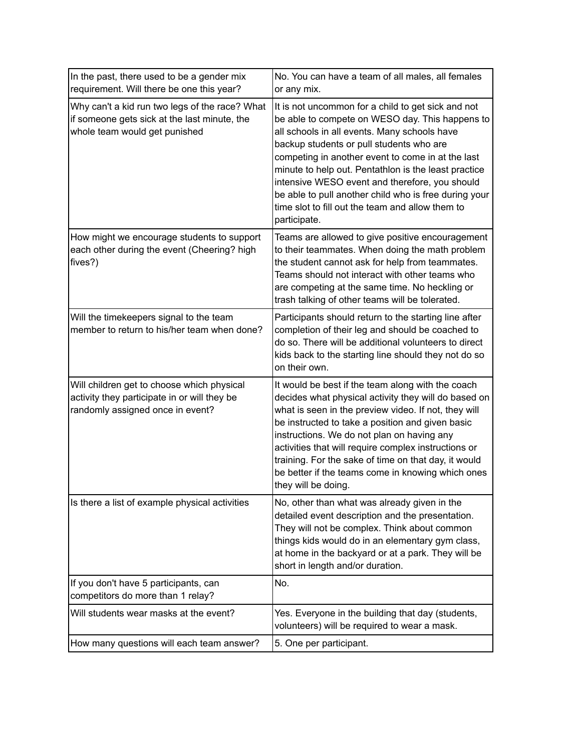| In the past, there used to be a gender mix<br>requirement. Will there be one this year?                                         | No. You can have a team of all males, all females<br>or any mix.                                                                                                                                                                                                                                                                                                                                                                                                                              |
|---------------------------------------------------------------------------------------------------------------------------------|-----------------------------------------------------------------------------------------------------------------------------------------------------------------------------------------------------------------------------------------------------------------------------------------------------------------------------------------------------------------------------------------------------------------------------------------------------------------------------------------------|
| Why can't a kid run two legs of the race? What<br>if someone gets sick at the last minute, the<br>whole team would get punished | It is not uncommon for a child to get sick and not<br>be able to compete on WESO day. This happens to<br>all schools in all events. Many schools have<br>backup students or pull students who are<br>competing in another event to come in at the last<br>minute to help out. Pentathlon is the least practice<br>intensive WESO event and therefore, you should<br>be able to pull another child who is free during your<br>time slot to fill out the team and allow them to<br>participate. |
| How might we encourage students to support<br>each other during the event (Cheering? high<br>fives?)                            | Teams are allowed to give positive encouragement<br>to their teammates. When doing the math problem<br>the student cannot ask for help from teammates.<br>Teams should not interact with other teams who<br>are competing at the same time. No heckling or<br>trash talking of other teams will be tolerated.                                                                                                                                                                                 |
| Will the timekeepers signal to the team<br>member to return to his/her team when done?                                          | Participants should return to the starting line after<br>completion of their leg and should be coached to<br>do so. There will be additional volunteers to direct<br>kids back to the starting line should they not do so<br>on their own.                                                                                                                                                                                                                                                    |
| Will children get to choose which physical<br>activity they participate in or will they be<br>randomly assigned once in event?  | It would be best if the team along with the coach<br>decides what physical activity they will do based on<br>what is seen in the preview video. If not, they will<br>be instructed to take a position and given basic<br>instructions. We do not plan on having any<br>activities that will require complex instructions or<br>training. For the sake of time on that day, it would<br>be better if the teams come in knowing which ones<br>they will be doing.                               |
| Is there a list of example physical activities                                                                                  | No, other than what was already given in the<br>detailed event description and the presentation.<br>They will not be complex. Think about common<br>things kids would do in an elementary gym class,<br>at home in the backyard or at a park. They will be<br>short in length and/or duration.                                                                                                                                                                                                |
| If you don't have 5 participants, can<br>competitors do more than 1 relay?                                                      | No.                                                                                                                                                                                                                                                                                                                                                                                                                                                                                           |
| Will students wear masks at the event?                                                                                          | Yes. Everyone in the building that day (students,<br>volunteers) will be required to wear a mask.                                                                                                                                                                                                                                                                                                                                                                                             |
| How many questions will each team answer?                                                                                       | 5. One per participant.                                                                                                                                                                                                                                                                                                                                                                                                                                                                       |